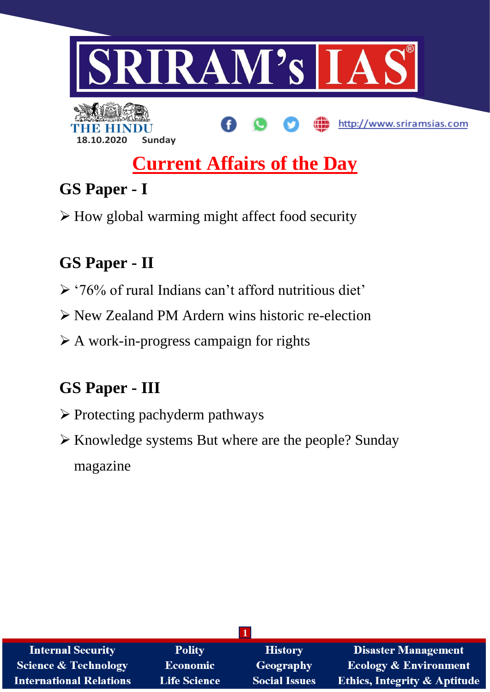

# **Current Affairs of the Day**

# **GS Paper - I**

How global warming might affect food security

## **GS Paper - II**

- '76% of rural Indians can't afford nutritious diet'
- New Zealand PM Ardern wins historic re-election
- $\triangleright$  A work-in-progress campaign for rights

## **GS Paper - III**

- $\triangleright$  Protecting pachyderm pathways
- Knowledge systems But where are the people? Sunday magazine

| <b>Internal Security</b>       | <b>Polity</b>       | <b>History</b>       | <b>Disaster Management</b>              |  |
|--------------------------------|---------------------|----------------------|-----------------------------------------|--|
| Science & Technology           | Economic            | <b>Geography</b>     | <b>Ecology &amp; Environment</b>        |  |
| <b>International Relations</b> | <b>Life Science</b> | <b>Social Issues</b> | <b>Ethics, Integrity &amp; Aptitude</b> |  |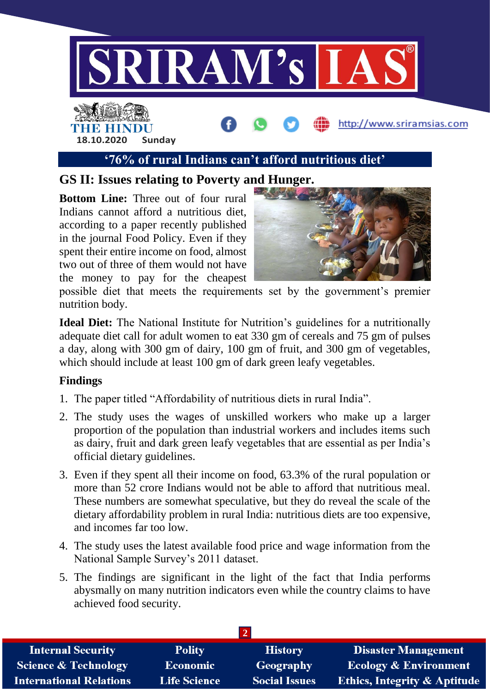

### **'76% of rural Indians can't afford nutritious diet'**

### **GS II: Issues relating to Poverty and Hunger.**

**Bottom Line:** Three out of four rural Indians cannot afford a nutritious diet, according to a paper recently published in the journal Food Policy. Even if they spent their entire income on food, almost two out of three of them would not have the money to pay for the cheapest



possible diet that meets the requirements set by the government's premier nutrition body.

**Ideal Diet:** The National Institute for Nutrition's guidelines for a nutritionally adequate diet call for adult women to eat 330 gm of cereals and 75 gm of pulses a day, along with 300 gm of dairy, 100 gm of fruit, and 300 gm of vegetables, which should include at least 100 gm of dark green leafy vegetables.

#### **Findings**

- 1. The paper titled "Affordability of nutritious diets in rural India".
- 2. The study uses the wages of unskilled workers who make up a larger proportion of the population than industrial workers and includes items such as dairy, fruit and dark green leafy vegetables that are essential as per India's official dietary guidelines.
- 3. Even if they spent all their income on food, 63.3% of the rural population or more than 52 crore Indians would not be able to afford that nutritious meal. These numbers are somewhat speculative, but they do reveal the scale of the dietary affordability problem in rural India: nutritious diets are too expensive, and incomes far too low.
- 4. The study uses the latest available food price and wage information from the National Sample Survey's 2011 dataset.
- 5. The findings are significant in the light of the fact that India performs abysmally on many nutrition indicators even while the country claims to have achieved food security.

| <b>Internal Security</b>        | <b>Polity</b>       | <b>History</b>       | <b>Disaster Management</b>              |  |
|---------------------------------|---------------------|----------------------|-----------------------------------------|--|
| <b>Science &amp; Technology</b> | <b>Economic</b>     | Geography            | <b>Ecology &amp; Environment</b>        |  |
| <b>International Relations</b>  | <b>Life Science</b> | <b>Social Issues</b> | <b>Ethics, Integrity &amp; Aptitude</b> |  |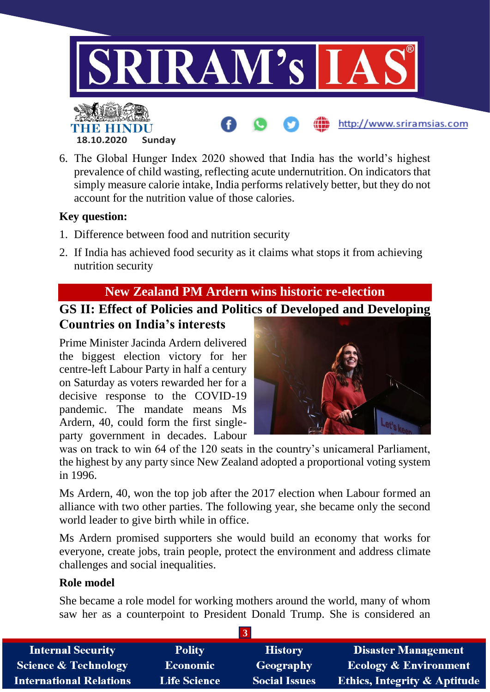

6. The Global Hunger Index 2020 showed that India has the world's highest prevalence of child wasting, reflecting acute undernutrition. On indicators that simply measure calorie intake, India performs relatively better, but they do not account for the nutrition value of those calories.

#### **Key question:**

- 1. Difference between food and nutrition security
- 2. If India has achieved food security as it claims what stops it from achieving nutrition security

### **New Zealand PM Ardern wins historic re-election**

### **GS II: Effect of Policies and Politics of Developed and Developing Countries on India's interests**

Prime Minister Jacinda Ardern delivered the biggest election victory for her centre-left Labour Party in half a century on Saturday as voters rewarded her for a decisive response to the COVID-19 pandemic. The mandate means Ms Ardern, 40, could form the first singleparty government in decades. Labour



was on track to win 64 of the 120 seats in the country's unicameral Parliament, the highest by any party since New Zealand adopted a proportional voting system in 1996.

Ms Ardern, 40, won the top job after the 2017 election when Labour formed an alliance with two other parties. The following year, she became only the second world leader to give birth while in office.

Ms Ardern promised supporters she would build an economy that works for everyone, create jobs, train people, protect the environment and address climate challenges and social inequalities.

#### **Role model**

She became a role model for working mothers around the world, many of whom saw her as a counterpoint to President Donald Trump. She is considered an

| <b>Internal Security</b>        | <b>Polity</b>       | <b>History</b>       | <b>Disaster Management</b>              |  |
|---------------------------------|---------------------|----------------------|-----------------------------------------|--|
| <b>Science &amp; Technology</b> | <b>Economic</b>     | Geography            | <b>Ecology &amp; Environment</b>        |  |
| <b>International Relations</b>  | <b>Life Science</b> | <b>Social Issues</b> | <b>Ethics, Integrity &amp; Aptitude</b> |  |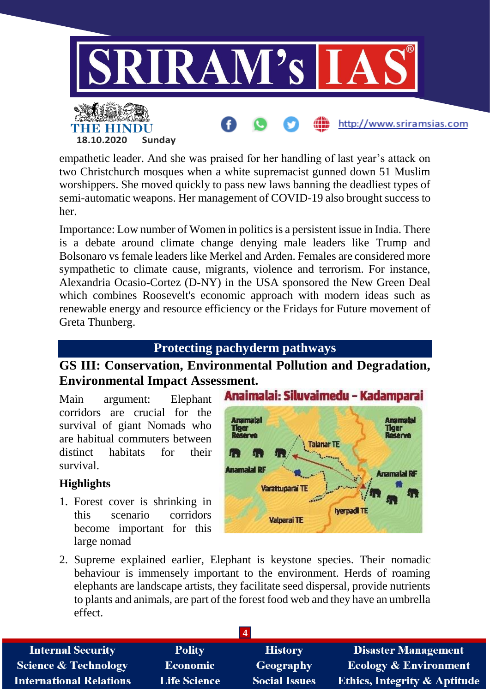

empathetic leader. And she was praised for her handling of last year's attack on two Christchurch mosques when a white supremacist gunned down 51 Muslim worshippers. She moved quickly to pass new laws banning the deadliest types of semi-automatic weapons. Her management of COVID-19 also brought success to her.

Importance: Low number of Women in politics is a persistent issue in India. There is a debate around climate change denying male leaders like Trump and Bolsonaro vs female leaders like Merkel and Arden. Females are considered more sympathetic to climate cause, migrants, violence and terrorism. For instance, Alexandria Ocasio-Cortez (D-NY) in the USA sponsored the New Green Deal which combines Roosevelt's economic approach with modern ideas such as renewable energy and resource efficiency or the Fridays for Future movement of Greta Thunberg.

### **Protecting pachyderm pathways**

### **GS III: Conservation, Environmental Pollution and Degradation, Environmental Impact Assessment.**

Main argument: Elephant corridors are crucial for the survival of giant Nomads who are habitual commuters between distinct habitats for their survival.

### **Highlights**

1. Forest cover is shrinking in this scenario corridors become important for this large nomad



2. Supreme explained earlier, Elephant is keystone species. Their nomadic behaviour is immensely important to the environment. Herds of roaming elephants are landscape artists, they facilitate seed dispersal, provide nutrients to plants and animals, are part of the forest food web and they have an umbrella effect.

| <b>Internal Security</b>        | <b>Polity</b>       | <b>History</b>       | <b>Disaster Management</b>              |
|---------------------------------|---------------------|----------------------|-----------------------------------------|
| <b>Science &amp; Technology</b> | Economic            | Geography            | <b>Ecology &amp; Environment</b>        |
| <b>International Relations</b>  | <b>Life Science</b> | <b>Social Issues</b> | <b>Ethics, Integrity &amp; Aptitude</b> |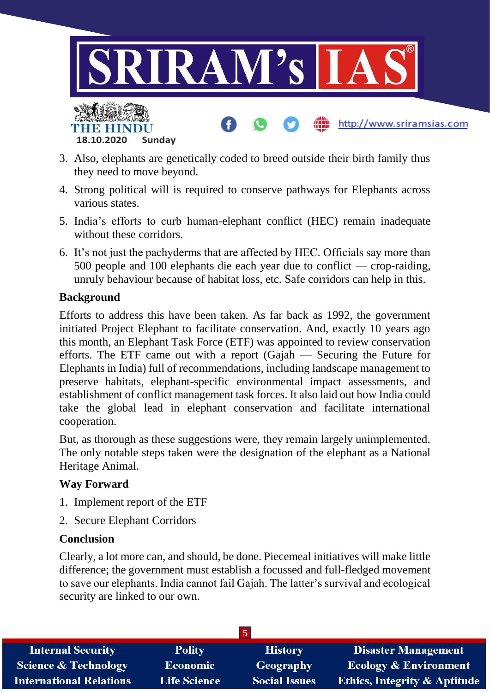

- 3. Also, elephants are genetically coded to breed outside their birth family thus they need to move beyond.
- 4. Strong political will is required to conserve pathways for Elephants across various states.
- 5. India's efforts to curb human-elephant conflict (HEC) remain inadequate without these corridors.
- 6. It's not just the pachyderms that are affected by HEC. Officials say more than 500 people and 100 elephants die each year due to conflict — crop-raiding, unruly behaviour because of habitat loss, etc. Safe corridors can help in this.

#### **Background**

Efforts to address this have been taken. As far back as 1992, the government initiated Project Elephant to facilitate conservation. And, exactly 10 years ago this month, an Elephant Task Force (ETF) was appointed to review conservation efforts. The ETF came out with a report (Gajah — Securing the Future for Elephants in India) full of recommendations, including landscape management to preserve habitats, elephant-specific environmental impact assessments, and establishment of conflict management task forces. It also laid out how India could take the global lead in elephant conservation and facilitate international cooperation.

But, as thorough as these suggestions were, they remain largely unimplemented. The only notable steps taken were the designation of the elephant as a National Heritage Animal.

#### **Way Forward**

- 1. Implement report of the ETF
- 2. Secure Elephant Corridors

#### **Conclusion**

Clearly, a lot more can, and should, be done. Piecemeal initiatives will make little difference; the government must establish a focussed and full-fledged movement to save our elephants. India cannot fail Gajah. The latter's survival and ecological security are linked to our own.

| <b>Internal Security</b>       | <b>Polity</b>       | <b>History</b>       | Disaster Management                     |  |
|--------------------------------|---------------------|----------------------|-----------------------------------------|--|
| Science & Technology           | <b>Economic</b>     | Geography            | <b>Ecology &amp; Environment</b>        |  |
| <b>International Relations</b> | <b>Life Science</b> | <b>Social Issues</b> | <b>Ethics, Integrity &amp; Aptitude</b> |  |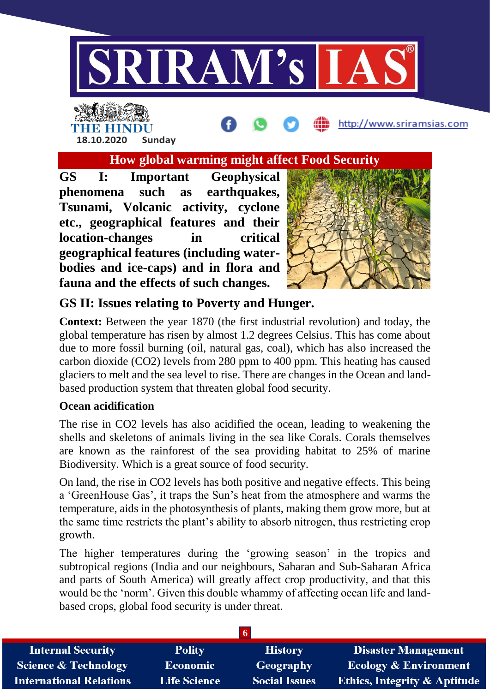

# THE HINDL **18.10.2020 Sunday**

**How global warming might affect Food Security**

**GS I: Important Geophysical phenomena such as earthquakes, Tsunami, Volcanic activity, cyclone etc., geographical features and their location-changes in critical geographical features (including waterbodies and ice-caps) and in flora and fauna and the effects of such changes.**



http://www.sriramsias.com

### **GS II: Issues relating to Poverty and Hunger.**

**Context:** Between the year 1870 (the first industrial revolution) and today, the global temperature has risen by almost 1.2 degrees Celsius. This has come about due to more fossil burning (oil, natural gas, coal), which has also increased the carbon dioxide (CO2) levels from 280 ppm to 400 ppm. This heating has caused glaciers to melt and the sea level to rise. There are changes in the Ocean and landbased production system that threaten global food security.

### **Ocean acidification**

The rise in CO2 levels has also acidified the ocean, leading to weakening the shells and skeletons of animals living in the sea like Corals. Corals themselves are known as the rainforest of the sea providing habitat to 25% of marine Biodiversity. Which is a great source of food security.

On land, the rise in CO2 levels has both positive and negative effects. This being a 'GreenHouse Gas', it traps the Sun's heat from the atmosphere and warms the temperature, aids in the photosynthesis of plants, making them grow more, but at the same time restricts the plant's ability to absorb nitrogen, thus restricting crop growth.

The higher temperatures during the 'growing season' in the tropics and subtropical regions (India and our neighbours, Saharan and Sub-Saharan Africa and parts of South America) will greatly affect crop productivity, and that this would be the 'norm'. Given this double whammy of affecting ocean life and landbased crops, global food security is under threat.

| <b>Internal Security</b>        | <b>Polity</b>       | <b>History</b>       | <b>Disaster Management</b>              |
|---------------------------------|---------------------|----------------------|-----------------------------------------|
| <b>Science &amp; Technology</b> | <b>Economic</b>     | Geography            | <b>Ecology &amp; Environment</b>        |
| <b>International Relations</b>  | <b>Life Science</b> | <b>Social Issues</b> | <b>Ethics, Integrity &amp; Aptitude</b> |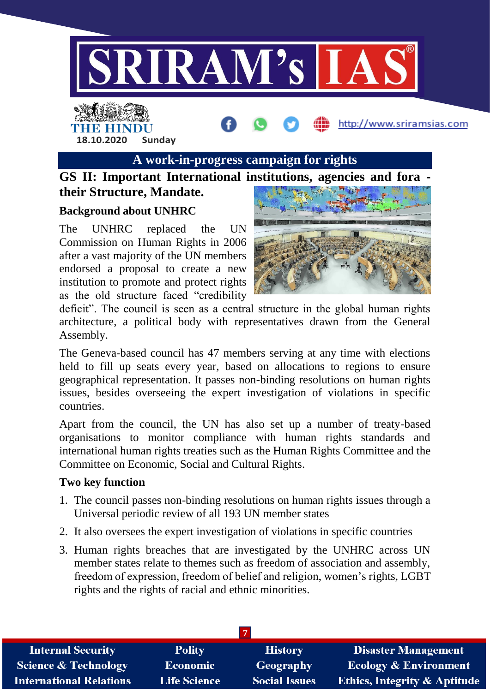

## **A work-in-progress campaign for rights**

### **GS II: Important International institutions, agencies and fora their Structure, Mandate.**

#### **Background about UNHRC**

**18.10.2020 Sunday**

HE HINDI

The UNHRC replaced the UN Commission on Human Rights in 2006 after a vast majority of the UN members endorsed a proposal to create a new institution to promote and protect rights as the old structure faced "credibility



http://www.sriramsias.com

deficit". The council is seen as a central structure in the global human rights architecture, a political body with representatives drawn from the General Assembly.

The Geneva-based council has 47 members serving at any time with elections held to fill up seats every year, based on allocations to regions to ensure geographical representation. It passes non-binding resolutions on human rights issues, besides overseeing the expert investigation of violations in specific countries.

Apart from the council, the UN has also set up a number of treaty-based organisations to monitor compliance with human rights standards and international human rights treaties such as the Human Rights Committee and the Committee on Economic, Social and Cultural Rights.

#### **Two key function**

- 1. The council passes non-binding resolutions on human rights issues through a Universal periodic review of all 193 UN member states
- 2. It also oversees the expert investigation of violations in specific countries
- 3. Human rights breaches that are investigated by the UNHRC across UN member states relate to themes such as freedom of association and assembly, freedom of expression, freedom of belief and religion, women's rights, LGBT rights and the rights of racial and ethnic minorities.

| <b>Internal Security</b>        | <b>Polity</b>       | <b>History</b>       | <b>Disaster Management</b>              |
|---------------------------------|---------------------|----------------------|-----------------------------------------|
| <b>Science &amp; Technology</b> | Economic            | <b>Geography</b>     | <b>Ecology &amp; Environment</b>        |
| <b>International Relations</b>  | <b>Life Science</b> | <b>Social Issues</b> | <b>Ethics, Integrity &amp; Aptitude</b> |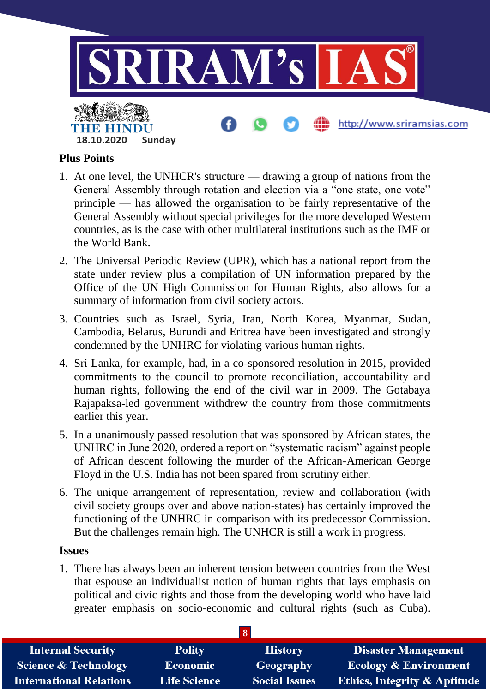

### **Plus Points**

- 1. At one level, the UNHCR's structure drawing a group of nations from the General Assembly through rotation and election via a "one state, one vote" principle — has allowed the organisation to be fairly representative of the General Assembly without special privileges for the more developed Western countries, as is the case with other multilateral institutions such as the IMF or the World Bank.
- 2. The Universal Periodic Review (UPR), which has a national report from the state under review plus a compilation of UN information prepared by the Office of the UN High Commission for Human Rights, also allows for a summary of information from civil society actors.
- 3. Countries such as Israel, Syria, Iran, North Korea, Myanmar, Sudan, Cambodia, Belarus, Burundi and Eritrea have been investigated and strongly condemned by the UNHRC for violating various human rights.
- 4. Sri Lanka, for example, had, in a co-sponsored resolution in 2015, provided commitments to the council to promote reconciliation, accountability and human rights, following the end of the civil war in 2009. The Gotabaya Rajapaksa-led government withdrew the country from those commitments earlier this year.
- 5. In a unanimously passed resolution that was sponsored by African states, the UNHRC in June 2020, ordered a report on "systematic racism" against people of African descent following the murder of the African-American George Floyd in the U.S. India has not been spared from scrutiny either.
- 6. The unique arrangement of representation, review and collaboration (with civil society groups over and above nation-states) has certainly improved the functioning of the UNHRC in comparison with its predecessor Commission. But the challenges remain high. The UNHCR is still a work in progress.

#### **Issues**

1. There has always been an inherent tension between countries from the West that espouse an individualist notion of human rights that lays emphasis on political and civic rights and those from the developing world who have laid greater emphasis on socio-economic and cultural rights (such as Cuba).

| <b>Internal Security</b>        | <b>Polity</b>       | <b>History</b>       | <b>Disaster Management</b>              |  |
|---------------------------------|---------------------|----------------------|-----------------------------------------|--|
| <b>Science &amp; Technology</b> | <b>Economic</b>     | Geography            | <b>Ecology &amp; Environment</b>        |  |
| <b>International Relations</b>  | <b>Life Science</b> | <b>Social Issues</b> | <b>Ethics, Integrity &amp; Aptitude</b> |  |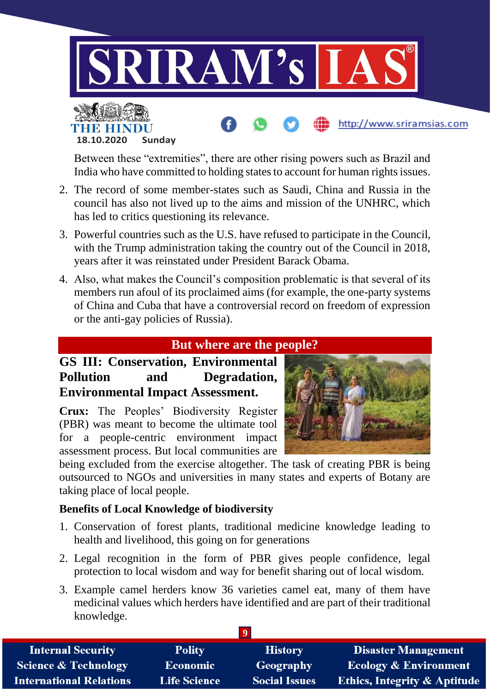

Between these "extremities", there are other rising powers such as Brazil and India who have committed to holding states to account for human rights issues.

- 2. The record of some member-states such as Saudi, China and Russia in the council has also not lived up to the aims and mission of the UNHRC, which has led to critics questioning its relevance.
- 3. Powerful countries such as the U.S. have refused to participate in the Council, with the Trump administration taking the country out of the Council in 2018, years after it was reinstated under President Barack Obama.
- 4. Also, what makes the Council's composition problematic is that several of its members run afoul of its proclaimed aims (for example, the one-party systems of China and Cuba that have a controversial record on freedom of expression or the anti-gay policies of Russia).

### **But where are the people?**

### **GS III: Conservation, Environmental Pollution and Degradation, Environmental Impact Assessment.**

**18.10.2020 Sunday**

**Crux:** The Peoples' Biodiversity Register (PBR) was meant to become the ultimate tool for a people-centric environment impact assessment process. But local communities are

being excluded from the exercise altogether. The task of creating PBR is being outsourced to NGOs and universities in many states and experts of Botany are taking place of local people.

### **Benefits of Local Knowledge of biodiversity**

- 1. Conservation of forest plants, traditional medicine knowledge leading to health and livelihood, this going on for generations
- 2. Legal recognition in the form of PBR gives people confidence, legal protection to local wisdom and way for benefit sharing out of local wisdom.
- 3. Example camel herders know 36 varieties camel eat, many of them have medicinal values which herders have identified and are part of their traditional knowledge.

| <b>Internal Security</b>        | <b>Polity</b>       | <b>History</b>       | <b>Disaster Management</b>              |  |
|---------------------------------|---------------------|----------------------|-----------------------------------------|--|
| <b>Science &amp; Technology</b> | Economic            | Geography            | <b>Ecology &amp; Environment</b>        |  |
| <b>International Relations</b>  | <b>Life Science</b> | <b>Social Issues</b> | <b>Ethics, Integrity &amp; Aptitude</b> |  |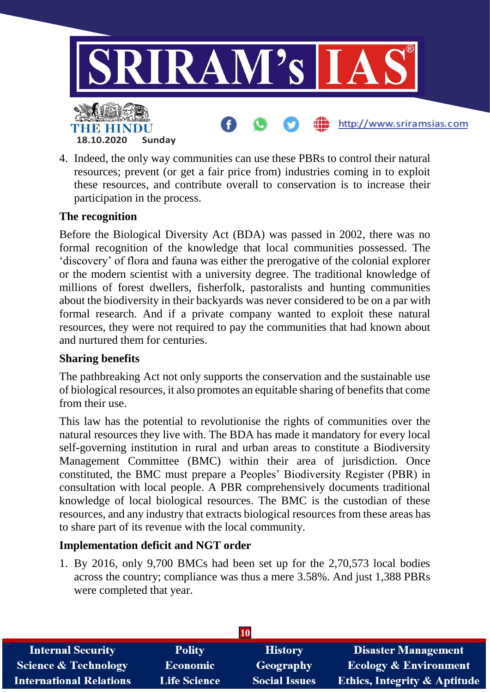

4. Indeed, the only way communities can use these PBRs to control their natural resources; prevent (or get a fair price from) industries coming in to exploit these resources, and contribute overall to conservation is to increase their participation in the process.

#### **The recognition**

Before the Biological Diversity Act (BDA) was passed in 2002, there was no formal recognition of the knowledge that local communities possessed. The 'discovery' of flora and fauna was either the prerogative of the colonial explorer or the modern scientist with a university degree. The traditional knowledge of millions of forest dwellers, fisherfolk, pastoralists and hunting communities about the biodiversity in their backyards was never considered to be on a par with formal research. And if a private company wanted to exploit these natural resources, they were not required to pay the communities that had known about and nurtured them for centuries.

#### **Sharing benefits**

The pathbreaking Act not only supports the conservation and the sustainable use of biological resources, it also promotes an equitable sharing of benefits that come from their use

This law has the potential to revolutionise the rights of communities over the natural resources they live with. The BDA has made it mandatory for every local self-governing institution in rural and urban areas to constitute a Biodiversity Management Committee (BMC) within their area of jurisdiction. Once constituted, the BMC must prepare a Peoples' Biodiversity Register (PBR) in consultation with local people. A PBR comprehensively documents traditional knowledge of local biological resources. The BMC is the custodian of these resources, and any industry that extracts biological resources from these areas has to share part of its revenue with the local community.

### **Implementation deficit and NGT order**

1. By 2016, only 9,700 BMCs had been set up for the 2,70,573 local bodies across the country; compliance was thus a mere 3.58%. And just 1,388 PBRs were completed that year.

| <b>10</b>                       |                     |                      |                                         |  |
|---------------------------------|---------------------|----------------------|-----------------------------------------|--|
| <b>Internal Security</b>        | <b>Polity</b>       | <b>History</b>       | <b>Disaster Management</b>              |  |
| <b>Science &amp; Technology</b> | <b>Economic</b>     | Geography            | <b>Ecology &amp; Environment</b>        |  |
| <b>International Relations</b>  | <b>Life Science</b> | <b>Social Issues</b> | <b>Ethics, Integrity &amp; Aptitude</b> |  |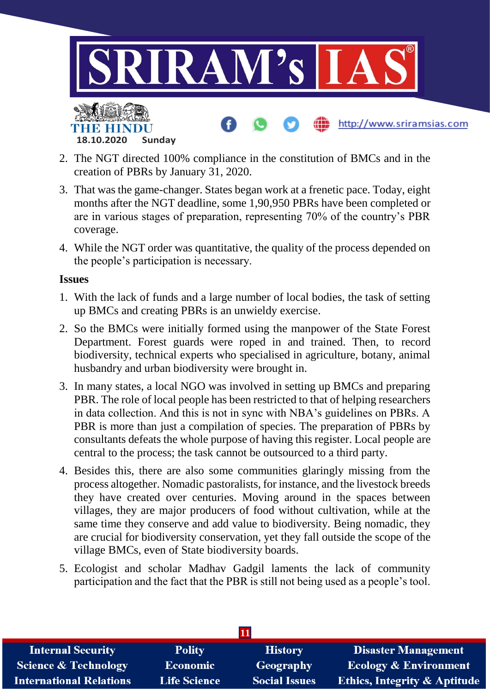

- 2. The NGT directed 100% compliance in the constitution of BMCs and in the creation of PBRs by January 31, 2020.
- 3. That was the game-changer. States began work at a frenetic pace. Today, eight months after the NGT deadline, some 1,90,950 PBRs have been completed or are in various stages of preparation, representing 70% of the country's PBR coverage.
- 4. While the NGT order was quantitative, the quality of the process depended on the people's participation is necessary.

#### **Issues**

- 1. With the lack of funds and a large number of local bodies, the task of setting up BMCs and creating PBRs is an unwieldy exercise.
- 2. So the BMCs were initially formed using the manpower of the State Forest Department. Forest guards were roped in and trained. Then, to record biodiversity, technical experts who specialised in agriculture, botany, animal husbandry and urban biodiversity were brought in.
- 3. In many states, a local NGO was involved in setting up BMCs and preparing PBR. The role of local people has been restricted to that of helping researchers in data collection. And this is not in sync with NBA's guidelines on PBRs. A PBR is more than just a compilation of species. The preparation of PBRs by consultants defeats the whole purpose of having this register. Local people are central to the process; the task cannot be outsourced to a third party.
- 4. Besides this, there are also some communities glaringly missing from the process altogether. Nomadic pastoralists, for instance, and the livestock breeds they have created over centuries. Moving around in the spaces between villages, they are major producers of food without cultivation, while at the same time they conserve and add value to biodiversity. Being nomadic, they are crucial for biodiversity conservation, yet they fall outside the scope of the village BMCs, even of State biodiversity boards.
- 5. Ecologist and scholar Madhav Gadgil laments the lack of community participation and the fact that the PBR is still not being used as a people's tool.

| <b>Internal Security</b>        | <b>Polity</b>       | <b>History</b>       | <b>Disaster Management</b>              |  |
|---------------------------------|---------------------|----------------------|-----------------------------------------|--|
| <b>Science &amp; Technology</b> | <b>Economic</b>     | Geography            | <b>Ecology &amp; Environment</b>        |  |
| <b>International Relations</b>  | <b>Life Science</b> | <b>Social Issues</b> | <b>Ethics, Integrity &amp; Aptitude</b> |  |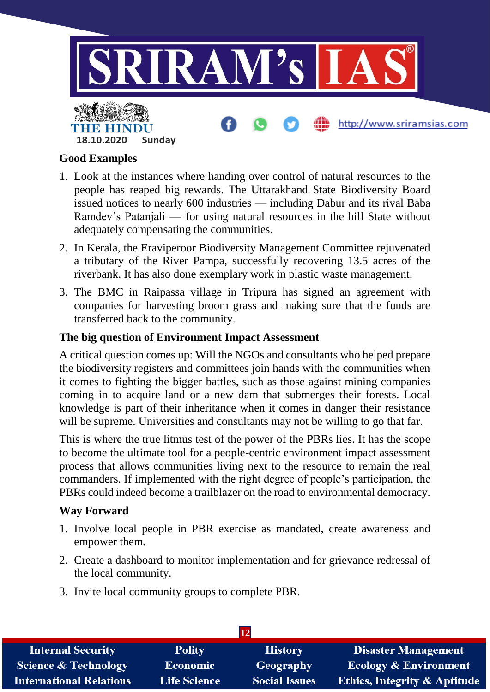

### **Good Examples**

- 1. Look at the instances where handing over control of natural resources to the people has reaped big rewards. The Uttarakhand State Biodiversity Board issued notices to nearly 600 industries — including Dabur and its rival Baba Ramdev's Patanjali — for using natural resources in the hill State without adequately compensating the communities.
- 2. In Kerala, the Eraviperoor Biodiversity Management Committee rejuvenated a tributary of the River Pampa, successfully recovering 13.5 acres of the riverbank. It has also done exemplary work in plastic waste management.
- 3. The BMC in Raipassa village in Tripura has signed an agreement with companies for harvesting broom grass and making sure that the funds are transferred back to the community.

### **The big question of Environment Impact Assessment**

A critical question comes up: Will the NGOs and consultants who helped prepare the biodiversity registers and committees join hands with the communities when it comes to fighting the bigger battles, such as those against mining companies coming in to acquire land or a new dam that submerges their forests. Local knowledge is part of their inheritance when it comes in danger their resistance will be supreme. Universities and consultants may not be willing to go that far.

This is where the true litmus test of the power of the PBRs lies. It has the scope to become the ultimate tool for a people-centric environment impact assessment process that allows communities living next to the resource to remain the real commanders. If implemented with the right degree of people's participation, the PBRs could indeed become a trailblazer on the road to environmental democracy.

#### **Way Forward**

- 1. Involve local people in PBR exercise as mandated, create awareness and empower them.
- 2. Create a dashboard to monitor implementation and for grievance redressal of the local community.
- 3. Invite local community groups to complete PBR.

| $\overline{12}$                 |                     |                      |                                         |  |
|---------------------------------|---------------------|----------------------|-----------------------------------------|--|
| <b>Internal Security</b>        | <b>Polity</b>       | <b>History</b>       | <b>Disaster Management</b>              |  |
| <b>Science &amp; Technology</b> | <b>Economic</b>     | Geography            | <b>Ecology &amp; Environment</b>        |  |
| <b>International Relations</b>  | <b>Life Science</b> | <b>Social Issues</b> | <b>Ethics, Integrity &amp; Aptitude</b> |  |